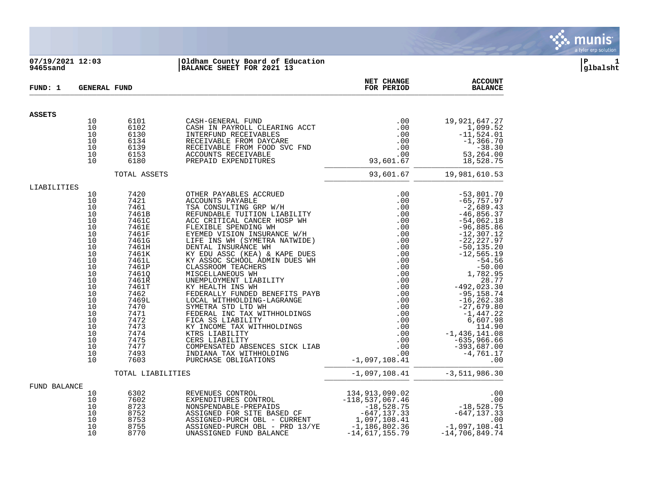

# **07/19/2021 12:03 |Oldham County Board of Education |P 1 9465sand |BALANCE SHEET FOR 2021 13 |glbalsht**

| FUND: 1       |                                                                                                                                                          | <b>GENERAL FUND</b>                                                                                                                                                                                                       |                                                                                                                                                                                                                                                                                                                                                                                                                                                                                                                                                                                                                                                                                                                | NET CHANGE<br>FOR PERIOD                                                                                                                                                                                 | <b>ACCOUNT</b><br><b>BALANCE</b>                                                                                                                                                                                                                                                                                                                                                               |
|---------------|----------------------------------------------------------------------------------------------------------------------------------------------------------|---------------------------------------------------------------------------------------------------------------------------------------------------------------------------------------------------------------------------|----------------------------------------------------------------------------------------------------------------------------------------------------------------------------------------------------------------------------------------------------------------------------------------------------------------------------------------------------------------------------------------------------------------------------------------------------------------------------------------------------------------------------------------------------------------------------------------------------------------------------------------------------------------------------------------------------------------|----------------------------------------------------------------------------------------------------------------------------------------------------------------------------------------------------------|------------------------------------------------------------------------------------------------------------------------------------------------------------------------------------------------------------------------------------------------------------------------------------------------------------------------------------------------------------------------------------------------|
| <b>ASSETS</b> |                                                                                                                                                          |                                                                                                                                                                                                                           |                                                                                                                                                                                                                                                                                                                                                                                                                                                                                                                                                                                                                                                                                                                |                                                                                                                                                                                                          |                                                                                                                                                                                                                                                                                                                                                                                                |
|               | 10<br>10<br>10<br>10<br>10<br>10<br>10                                                                                                                   | 6101<br>6102<br>6130<br>6134<br>6139<br>6153<br>6180                                                                                                                                                                      | CASH-GENERAL FUND<br>CASH IN PAYROLL CLEARING ACCT<br>INTERFUND RECEIVABLES<br>RECEIVABLE FROM DAYCARE<br>RECEIVABLE FROM FOOD SVC FND<br>ACCOUNTS RECEIVABLE<br>PREPAID EXPENDITURES                                                                                                                                                                                                                                                                                                                                                                                                                                                                                                                          | $.00 \,$<br>.00<br>.00<br>.00<br>.00<br>.00<br>93,601.67                                                                                                                                                 | 19,921,647.27<br>1,099.52<br>$-11,524.01$<br>$-1,366.70$<br>$-38.30$<br>53,264.00<br>18,528.75                                                                                                                                                                                                                                                                                                 |
|               |                                                                                                                                                          | TOTAL ASSETS                                                                                                                                                                                                              |                                                                                                                                                                                                                                                                                                                                                                                                                                                                                                                                                                                                                                                                                                                | 93,601.67                                                                                                                                                                                                | 19,981,610.53                                                                                                                                                                                                                                                                                                                                                                                  |
| LIABILITIES   |                                                                                                                                                          |                                                                                                                                                                                                                           |                                                                                                                                                                                                                                                                                                                                                                                                                                                                                                                                                                                                                                                                                                                |                                                                                                                                                                                                          |                                                                                                                                                                                                                                                                                                                                                                                                |
|               | 10<br>10<br>10<br>10<br>10<br>10<br>10<br>10<br>10<br>10<br>10<br>10<br>10<br>10<br>10<br>10<br>10<br>10<br>10<br>10<br>10<br>10<br>10<br>10<br>10<br>10 | 7420<br>7421<br>7461<br>7461B<br>7461C<br>7461E<br>7461F<br>7461G<br>7461H<br>7461K<br>7461L<br>7461P<br>7461Q<br>7461R<br>7461T<br>7462<br>7469L<br>7470<br>7471<br>7472<br>7473<br>7474<br>7475<br>7477<br>7493<br>7603 | OTHER PAYABLES ACCRUED<br>ACCOUNTS PAYABLE<br>TSA CONSULTING GRP W/H<br>REFUNDABLE TUITION LIABILITY<br>ACC CRITICAL CANCER HOSP WH<br>FLEXIBLE SPENDING WH<br>EYEMED VISION INSURANCE W/H<br>LIFE INS WH (SYMETRA NATWIDE)<br>DENTAL INSURANCE WH<br>KY EDU ASSC (KEA) & KAPE DUES<br>KY ASSOC SCHOOL ADMIN DUES WH<br>CLASSROOM TEACHERS<br>MISCELLANEOUS WH<br>UNEMPLOYMENT LIABILITY<br>KY HEALTH INS WH<br>FEDERALLY FUNDED BENEFITS PAYB<br>LOCAL WITHHOLDING-LAGRANGE<br>SYMETRA STD LTD WH<br>FEDERAL INC TAX WITHHOLDINGS<br>FICA SS LIABILITY<br>KY INCOME TAX WITHHOLDINGS<br>KTRS LIABILITY<br>CERS LIABILITY<br>COMPENSATED ABSENCES SICK LIAB<br>INDIANA TAX WITHHOLDING<br>PURCHASE OBLIGATIONS | .00<br>.00<br>.00<br>.00<br>.00<br>.00<br>.00<br>.00<br>$.00 \,$<br>.00<br>.00<br>.00<br>.00<br>$.00 \,$<br>.00<br>.00<br>.00<br>.00<br>.00<br>.00<br>.00<br>.00<br>.00<br>.00<br>.00<br>$-1,097,108.41$ | $-53,801.70$<br>$-65,757.97$<br>$-2,689.43$<br>$-46,856.37$<br>$-54,062.18$<br>$-96,885.86$<br>$-12, 307.12$<br>$-22, 227.97$<br>$-50, 135.20$<br>$-12, 565.19$<br>$-54.56$<br>$-50.00$<br>1,782.95<br>28.77<br>$-492,023.30$<br>$-95,158.74$<br>$-16, 262.38$<br>$-27,679.80$<br>$-1,447.22$<br>6,607.98<br>114.90<br>$-1,436,141.08$<br>$-635,966.66$<br>$-393,687.00$<br>$-4,761.17$<br>.00 |
|               |                                                                                                                                                          | TOTAL LIABILITIES                                                                                                                                                                                                         |                                                                                                                                                                                                                                                                                                                                                                                                                                                                                                                                                                                                                                                                                                                | $-1,097,108.41$                                                                                                                                                                                          | $-3,511,986.30$                                                                                                                                                                                                                                                                                                                                                                                |
| FUND BALANCE  | 10<br>10<br>10<br>10<br>10<br>10<br>10                                                                                                                   | 6302<br>7602<br>8723<br>8752<br>8753<br>8755<br>8770                                                                                                                                                                      | REVENUES CONTROL<br>EXPENDITURES CONTROL<br>NONSPENDABLE-PREPAIDS<br>ASSIGNED FOR SITE BASED CF<br>ASSIGNED-PURCH OBL - CURRENT<br>ASSIGNED-PURCH OBL - PRD 13/YE<br>UNASSIGNED FUND BALANCE                                                                                                                                                                                                                                                                                                                                                                                                                                                                                                                   | 134,913,090.02<br>$-118, 537, 067.46$<br>$-18,528.75$<br>$-647,137.33$<br>1,097,108.41<br>$-1,186,802.36$<br>$-14,617,155.79$                                                                            | .00<br>.00<br>-18,528.75<br>647,137.33–<br>.00<br>$-1,097,108.41$<br>$-14,706,849.74$                                                                                                                                                                                                                                                                                                          |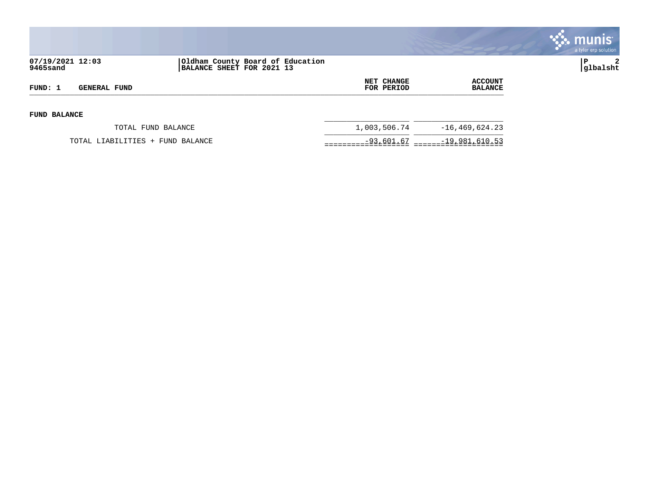

| 07/19/2021 12:03<br>9465sand |                                  | Oldham County Board of Education<br>BALANCE SHEET FOR 2021 13 |                                 |                                  | 2<br>lΡ<br>glbalsht |
|------------------------------|----------------------------------|---------------------------------------------------------------|---------------------------------|----------------------------------|---------------------|
| FUND: 1                      | GENERAL FUND                     |                                                               | <b>NET CHANGE</b><br>FOR PERIOD | <b>ACCOUNT</b><br><b>BALANCE</b> |                     |
| <b>FUND BALANCE</b>          |                                  |                                                               |                                 |                                  |                     |
|                              | TOTAL FUND BALANCE               |                                                               | 1,003,506.74                    | $-16, 469, 624.23$               |                     |
|                              | TOTAL LIABILITIES + FUND BALANCE |                                                               | $-93,601.67$                    | $-19,981,610.53$                 |                     |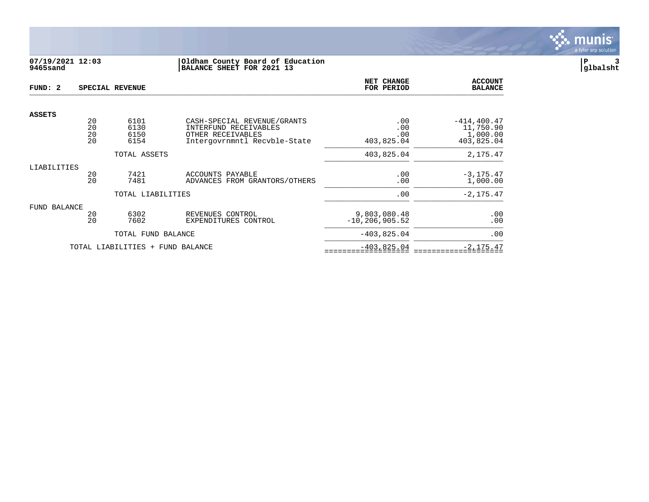

# **07/19/2021 12:03 |Oldham County Board of Education |P 3 9465sand |BALANCE SHEET FOR 2021 13 |glbalsht**

| FUND: 2       |                      | SPECIAL REVENUE                  |                                                                                                           | NET CHANGE<br>FOR PERIOD           | <b>ACCOUNT</b><br><b>BALANCE</b>                      |
|---------------|----------------------|----------------------------------|-----------------------------------------------------------------------------------------------------------|------------------------------------|-------------------------------------------------------|
| <b>ASSETS</b> |                      |                                  |                                                                                                           |                                    |                                                       |
|               | 20<br>20<br>20<br>20 | 6101<br>6130<br>6150<br>6154     | CASH-SPECIAL REVENUE/GRANTS<br>INTERFUND RECEIVABLES<br>OTHER RECEIVABLES<br>Intergovrnmntl Recvble-State | .00<br>.00<br>.00<br>403,825.04    | $-414, 400.47$<br>11,750.90<br>1,000.00<br>403,825.04 |
|               |                      | TOTAL ASSETS                     |                                                                                                           | 403,825.04                         | 2,175.47                                              |
| LIABILITIES   | 20<br>20             | 7421<br>7481                     | ACCOUNTS PAYABLE<br>ADVANCES FROM GRANTORS/OTHERS                                                         | .00<br>.00                         | $-3, 175.47$<br>1,000.00                              |
|               |                      | TOTAL LIABILITIES                |                                                                                                           | .00                                | $-2, 175.47$                                          |
| FUND BALANCE  | 20<br>20             | 6302<br>7602                     | REVENUES CONTROL<br>EXPENDITURES CONTROL                                                                  | 9,803,080.48<br>$-10, 206, 905.52$ | .00<br>.00                                            |
|               |                      | TOTAL FUND BALANCE               |                                                                                                           | $-403,825.04$                      | .00                                                   |
|               |                      | TOTAL LIABILITIES + FUND BALANCE |                                                                                                           | $-403,825.04$                      | $-2, 175.47$                                          |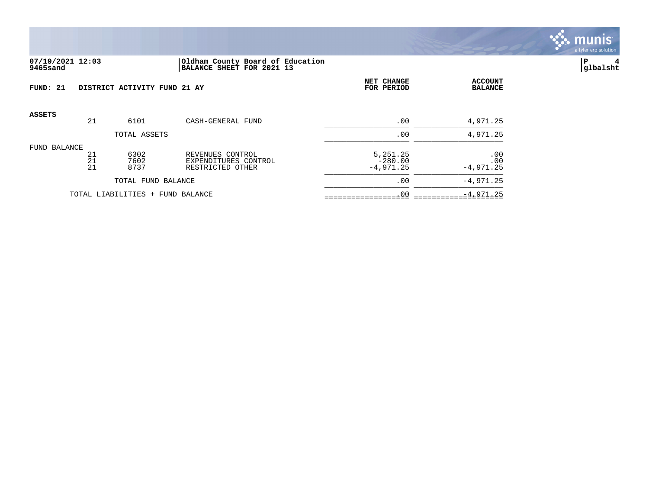

# **07/19/2021 12:03 |Oldham County Board of Education |P 4 9465sand |BALANCE SHEET FOR 2021 13 |glbalsht**

| FUND: 21     |                | DISTRICT ACTIVITY FUND 21 AY     |                                                              | NET CHANGE<br>FOR PERIOD             | <b>ACCOUNT</b><br><b>BALANCE</b> |
|--------------|----------------|----------------------------------|--------------------------------------------------------------|--------------------------------------|----------------------------------|
| ASSETS       | 21             | 6101                             | CASH-GENERAL FUND                                            | .00                                  | 4,971.25                         |
|              |                | TOTAL ASSETS                     |                                                              | .00                                  | 4,971.25                         |
| FUND BALANCE | 21<br>21<br>21 | 6302<br>7602<br>8737             | REVENUES CONTROL<br>EXPENDITURES CONTROL<br>RESTRICTED OTHER | 5,251.25<br>$-280.00$<br>$-4,971.25$ | .00<br>.00<br>$-4,971.25$        |
|              |                | TOTAL FUND BALANCE               |                                                              | .00                                  | $-4,971.25$                      |
|              |                | TOTAL LIABILITIES + FUND BALANCE |                                                              | .00                                  | $-4,971.25$                      |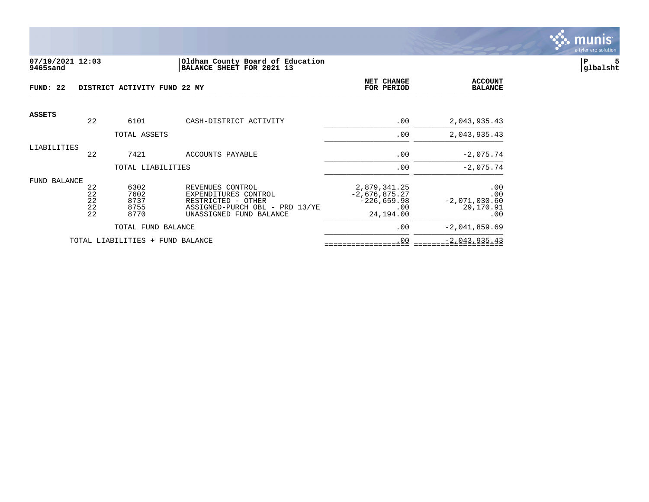

#### **07/19/2021 12:03 |Oldham County Board of Education |P 5 9465sand |BALANCE SHEET FOR 2021 13 |glbalsht**

| -22<br>FUND:  |                            | DISTRICT ACTIVITY FUND 22 MY         |                                                                                                                             | NET CHANGE<br>FOR PERIOD                                             | <b>ACCOUNT</b><br><b>BALANCE</b>                  |
|---------------|----------------------------|--------------------------------------|-----------------------------------------------------------------------------------------------------------------------------|----------------------------------------------------------------------|---------------------------------------------------|
| <b>ASSETS</b> | 22                         | 6101                                 | CASH-DISTRICT ACTIVITY                                                                                                      | .00                                                                  | 2,043,935.43                                      |
|               |                            | TOTAL ASSETS                         |                                                                                                                             | .00                                                                  | 2,043,935.43                                      |
| LIABILITIES   | 22                         | 7421                                 | ACCOUNTS PAYABLE                                                                                                            | .00                                                                  | $-2,075.74$                                       |
|               |                            | TOTAL LIABILITIES                    |                                                                                                                             | .00                                                                  | $-2,075.74$                                       |
| FUND BALANCE  | 22<br>22<br>22<br>22<br>22 | 6302<br>7602<br>8737<br>8755<br>8770 | REVENUES CONTROL<br>EXPENDITURES CONTROL<br>RESTRICTED - OTHER<br>ASSIGNED-PURCH OBL - PRD 13/YE<br>UNASSIGNED FUND BALANCE | 2,879,341.25<br>$-2,676,875.27$<br>$-226,659.98$<br>.00<br>24,194.00 | .00<br>.00<br>$-2,071,030.60$<br>29,170.91<br>.00 |
|               |                            | TOTAL FUND BALANCE                   |                                                                                                                             | .00                                                                  | $-2,041,859.69$                                   |
|               |                            | TOTAL LIABILITIES + FUND BALANCE     |                                                                                                                             | .00                                                                  | $-2,043,935.43$                                   |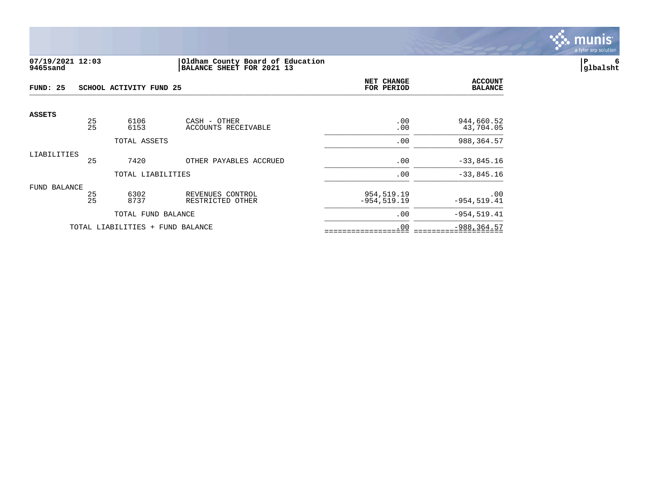

### **07/19/2021 12:03 |Oldham County Board of Education |P 6 9465sand |BALANCE SHEET FOR 2021 13 |glbalsht**

| FUND: 25      |          | SCHOOL ACTIVITY FUND 25          |                                      | NET CHANGE<br>FOR PERIOD     | <b>ACCOUNT</b><br><b>BALANCE</b> |
|---------------|----------|----------------------------------|--------------------------------------|------------------------------|----------------------------------|
| <b>ASSETS</b> | 25<br>25 | 6106<br>6153                     | CASH - OTHER<br>ACCOUNTS RECEIVABLE  | .00<br>.00                   | 944,660.52<br>43,704.05          |
|               |          | TOTAL ASSETS                     |                                      | .00                          | 988,364.57                       |
| LIABILITIES   | 25       | 7420                             | OTHER PAYABLES ACCRUED               | .00                          | $-33,845.16$                     |
|               |          | TOTAL LIABILITIES                |                                      | .00                          | $-33,845.16$                     |
| FUND BALANCE  | 25<br>25 | 6302<br>8737                     | REVENUES CONTROL<br>RESTRICTED OTHER | 954,519.19<br>$-954, 519.19$ | .00<br>$-954, 519.41$            |
|               |          | TOTAL FUND BALANCE               |                                      | .00                          | $-954, 519.41$                   |
|               |          | TOTAL LIABILITIES + FUND BALANCE |                                      | .00                          | $-988, 364.57$                   |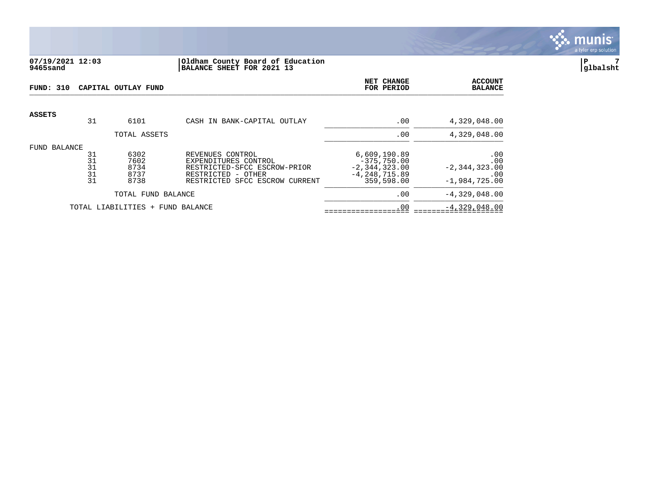

## **07/19/2021 12:03 |Oldham County Board of Education |P 7 9465sand |BALANCE SHEET FOR 2021 13 |glbalsht**

| FUND: 310       |                            | CAPITAL OUTLAY FUND                  |                                                                                                                                  | NET CHANGE<br>FOR PERIOD                                                              | <b>ACCOUNT</b><br><b>BALANCE</b>                          |
|-----------------|----------------------------|--------------------------------------|----------------------------------------------------------------------------------------------------------------------------------|---------------------------------------------------------------------------------------|-----------------------------------------------------------|
| <b>ASSETS</b>   | 31                         | 6101                                 | CASH IN BANK-CAPITAL OUTLAY                                                                                                      | .00                                                                                   | 4,329,048.00                                              |
|                 |                            | TOTAL ASSETS                         |                                                                                                                                  | .00                                                                                   | 4,329,048.00                                              |
| BALANCE<br>FUND | 31<br>31<br>31<br>31<br>31 | 6302<br>7602<br>8734<br>8737<br>8738 | REVENUES CONTROL<br>EXPENDITURES CONTROL<br>RESTRICTED-SFCC ESCROW-PRIOR<br>RESTRICTED - OTHER<br>RESTRICTED SFCC ESCROW CURRENT | 6,609,190.89<br>$-375,750.00$<br>$-2, 344, 323.00$<br>$-4, 248, 715.89$<br>359,598.00 | .00<br>.00<br>$-2, 344, 323.00$<br>.00<br>$-1,984,725.00$ |
|                 |                            | TOTAL FUND BALANCE                   |                                                                                                                                  | .00                                                                                   | $-4,329,048.00$                                           |
|                 |                            | TOTAL LIABILITIES + FUND BALANCE     |                                                                                                                                  | .00                                                                                   | $-4,329,048.00$                                           |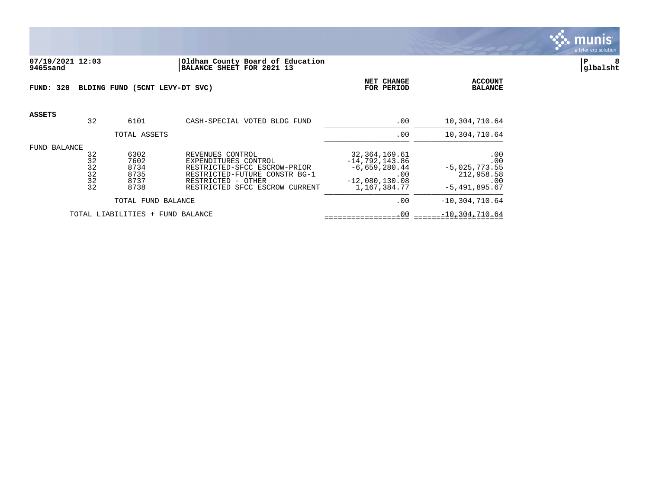

#### **07/19/2021 12:03 |Oldham County Board of Education |P 8 9465sand |BALANCE SHEET FOR 2021 13 |glbalsht**

| FUND: 320     |                                  | BLDING FUND (5CNT LEVY-DT SVC)               | NET CHANGE<br>FOR PERIOD                                                                                                                                          | <b>ACCOUNT</b><br><b>BALANCE</b>                                                                  |                                                                       |
|---------------|----------------------------------|----------------------------------------------|-------------------------------------------------------------------------------------------------------------------------------------------------------------------|---------------------------------------------------------------------------------------------------|-----------------------------------------------------------------------|
| <b>ASSETS</b> | 32                               | 6101                                         | CASH-SPECIAL VOTED BLDG FUND                                                                                                                                      | .00                                                                                               | 10,304,710.64                                                         |
|               |                                  | TOTAL ASSETS                                 |                                                                                                                                                                   | .00                                                                                               | 10,304,710.64                                                         |
| FUND BALANCE  | 32<br>32<br>32<br>32<br>32<br>32 | 6302<br>7602<br>8734<br>8735<br>8737<br>8738 | REVENUES CONTROL<br>EXPENDITURES CONTROL<br>RESTRICTED-SFCC ESCROW-PRIOR<br>RESTRICTED-FUTURE CONSTR BG-1<br>RESTRICTED - OTHER<br>RESTRICTED SFCC ESCROW CURRENT | 32, 364, 169.61<br>$-14,792,143.86$<br>$-6,659,280.44$<br>.00<br>$-12,080,130.08$<br>1,167,384.77 | .00<br>.00<br>$-5,025,773.55$<br>212,958.58<br>.00<br>$-5,491,895.67$ |
|               |                                  | TOTAL FUND BALANCE                           |                                                                                                                                                                   | .00                                                                                               | $-10, 304, 710.64$                                                    |
|               |                                  | TOTAL LIABILITIES +                          | FUND BALANCE                                                                                                                                                      | .00                                                                                               | $-10, 304, 710.64$                                                    |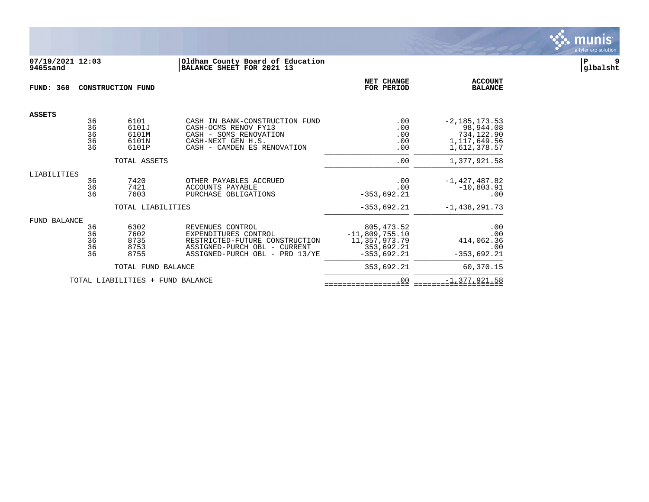

## **07/19/2021 12:03 |Oldham County Board of Education |P 9 9465sand |BALANCE SHEET FOR 2021 13 |glbalsht**

| <b>FUND: 360</b>    |                            | <b>CONSTRUCTION FUND</b>                 |                                                                                                                                              | <b>NET CHANGE</b><br>FOR PERIOD                                                 | <b>ACCOUNT</b><br><b>BALANCE</b>                                               |
|---------------------|----------------------------|------------------------------------------|----------------------------------------------------------------------------------------------------------------------------------------------|---------------------------------------------------------------------------------|--------------------------------------------------------------------------------|
| <b>ASSETS</b>       |                            |                                          |                                                                                                                                              |                                                                                 |                                                                                |
|                     | 36<br>36<br>36<br>36<br>36 | 6101<br>6101J<br>6101M<br>6101N<br>6101P | CASH IN BANK-CONSTRUCTION FUND<br>CASH-OCMS RENOV FY13<br>CASH - SOMS RENOVATION<br>CASH-NEXT GEN H.S.<br>CASH - CAMDEN ES RENOVATION        | .00<br>.00<br>.00<br>.00<br>.00                                                 | $-2, 185, 173.53$<br>98,944.08<br>734,122.90<br>1, 117, 649.56<br>1,612,378.57 |
|                     |                            | TOTAL ASSETS                             |                                                                                                                                              | .00                                                                             | 1,377,921.58                                                                   |
| LIABILITIES         | 36<br>36<br>36             | 7420<br>7421<br>7603                     | OTHER PAYABLES ACCRUED<br><b>ACCOUNTS PAYABLE</b><br>PURCHASE OBLIGATIONS                                                                    | .00<br>.00<br>$-353,692.21$                                                     | $-1,427,487.82$<br>$-10,803.91$<br>$.00 \,$                                    |
|                     |                            | TOTAL LIABILITIES                        |                                                                                                                                              | $-353,692.21$                                                                   | $-1,438,291.73$                                                                |
| <b>FUND BALANCE</b> | 36<br>36<br>36<br>36<br>36 | 6302<br>7602<br>8735<br>8753<br>8755     | REVENUES CONTROL<br>EXPENDITURES CONTROL<br>RESTRICTED-FUTURE CONSTRUCTION<br>ASSIGNED-PURCH OBL - CURRENT<br>ASSIGNED-PURCH OBL - PRD 13/YE | 805, 473.52<br>$-11,809,755.10$<br>11,357,973.79<br>353,692.21<br>$-353,692.21$ | .00<br>.00<br>414,062.36<br>.00<br>$-353,692.21$                               |
|                     |                            | TOTAL FUND BALANCE                       |                                                                                                                                              | 353,692.21                                                                      | 60,370.15                                                                      |
|                     |                            | TOTAL LIABILITIES<br>$+$                 | FUND BALANCE                                                                                                                                 | .00                                                                             | $-1, 377, 921.58$                                                              |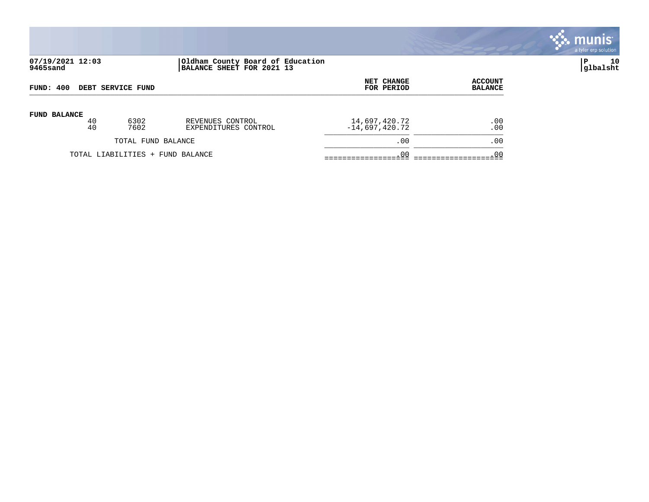

# **07/19/2021 12:03 |Oldham County Board of Education |P 10 9465sand |BALANCE SHEET FOR 2021 13 |glbalsht**

| FUND: 400                |    |                                  |                      | NET CHANGE       | <b>ACCOUNT</b>  |
|--------------------------|----|----------------------------------|----------------------|------------------|-----------------|
| <b>DEBT SERVICE FUND</b> |    |                                  |                      | FOR PERIOD       | <b>BALANCE</b>  |
| <b>FUND BALANCE</b>      | 40 | 6302                             | REVENUES CONTROL     | 14,697,420.72    | .00             |
|                          | 40 | 7602                             | EXPENDITURES CONTROL | $-14,697,420.72$ | .00             |
|                          |    | TOTAL FUND BALANCE               |                      | .00              | .00             |
|                          |    | TOTAL LIABILITIES + FUND BALANCE |                      | .00              | .0 <sub>c</sub> |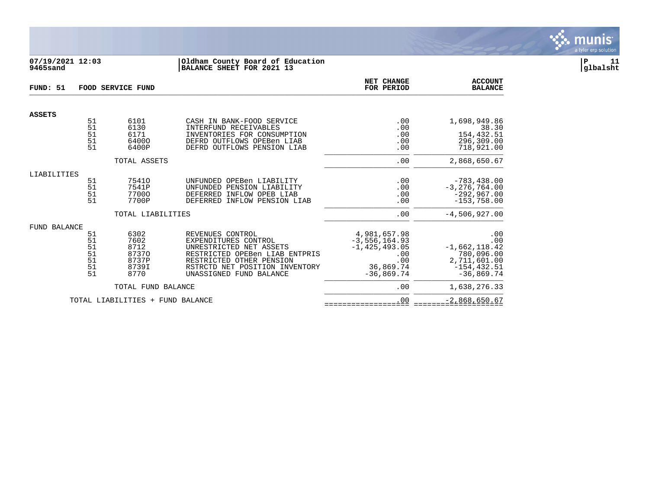

# **07/19/2021 12:03 |Oldham County Board of Education |P 11 9465sand |BALANCE SHEET FOR 2021 13 |glbalsht**

| FUND: 51      |                                        | FOOD SERVICE FUND                                       | NET CHANGE<br>FOR PERIOD                                                                                                                                                                       | <b>ACCOUNT</b><br><b>BALANCE</b>                                                                  |                                                                                               |
|---------------|----------------------------------------|---------------------------------------------------------|------------------------------------------------------------------------------------------------------------------------------------------------------------------------------------------------|---------------------------------------------------------------------------------------------------|-----------------------------------------------------------------------------------------------|
| <b>ASSETS</b> |                                        |                                                         |                                                                                                                                                                                                |                                                                                                   |                                                                                               |
|               | 51<br>51<br>51<br>51<br>51             | 6101<br>6130<br>6171<br>64000<br>6400P                  | CASH IN BANK-FOOD SERVICE<br>INTERFUND RECEIVABLES<br>INVENTORIES FOR CONSUMPTION<br>DEFRD OUTFLOWS OPEBen LIAB<br>DEFRD OUTFLOWS PENSION LIAB                                                 | .00<br>.00<br>.00<br>.00<br>.00                                                                   | 1,698,949.86<br>38.30<br>154,432.51<br>296,309.00<br>718,921.00                               |
|               |                                        | TOTAL ASSETS                                            |                                                                                                                                                                                                | .00                                                                                               | 2,868,650.67                                                                                  |
| LIABILITIES   |                                        |                                                         |                                                                                                                                                                                                |                                                                                                   |                                                                                               |
|               | 51<br>51<br>51<br>51                   | 75410<br>7541P<br>77000<br>7700P                        | UNFUNDED OPEBen LIABILITY<br>UNFUNDED PENSION LIABILITY<br>DEFERRED INFLOW OPEB LIAB<br>DEFERRED INFLOW PENSION LIAB                                                                           | .00<br>.00<br>.00<br>.00                                                                          | $-783, 438.00$<br>$-3, 276, 764.00$<br>$-292,967.00$<br>$-153,758.00$                         |
|               |                                        | TOTAL LIABILITIES                                       |                                                                                                                                                                                                | .00                                                                                               | $-4,506,927.00$                                                                               |
| FUND BALANCE  |                                        |                                                         |                                                                                                                                                                                                |                                                                                                   |                                                                                               |
|               | 51<br>51<br>51<br>51<br>51<br>51<br>51 | 6302<br>7602<br>8712<br>87370<br>8737P<br>8739I<br>8770 | REVENUES CONTROL<br>EXPENDITURES CONTROL<br>UNRESTRICTED NET ASSETS<br>RESTRICTED OPEBen LIAB ENTPRIS<br>RESTRICTED OTHER PENSION<br>RSTRCTD NET POSITION INVENTORY<br>UNASSIGNED FUND BALANCE | 4,981,657.98<br>$-3, 556, 164.93$<br>$-1, 425, 493.05$<br>.00<br>.00<br>36,869.74<br>$-36.869.74$ | .00<br>.00<br>$-1,662,118.42$<br>780,096.00<br>2,711,601.00<br>$-154, 432.51$<br>$-36,869.74$ |
|               |                                        | TOTAL FUND BALANCE                                      |                                                                                                                                                                                                | .00                                                                                               | 1,638,276.33                                                                                  |
|               |                                        | TOTAL LIABILITIES + FUND BALANCE                        |                                                                                                                                                                                                | .00                                                                                               | $-2,868,650.67$                                                                               |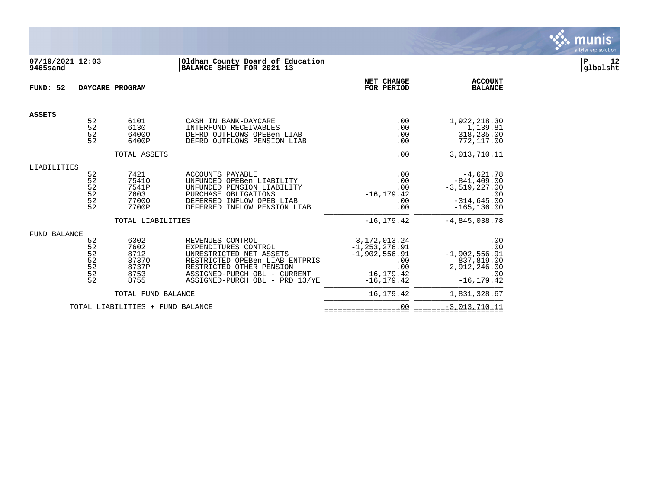

# **07/19/2021 12:03 |Oldham County Board of Education |P 12 9465sand |BALANCE SHEET FOR 2021 13 |glbalsht**

| FUND: 52      |                                        | DAYCARE PROGRAM                                                       |                                                                                                                                                                                                     | NET CHANGE<br>FOR PERIOD                                                                            | <b>ACCOUNT</b><br><b>BALANCE</b>                                                                               |
|---------------|----------------------------------------|-----------------------------------------------------------------------|-----------------------------------------------------------------------------------------------------------------------------------------------------------------------------------------------------|-----------------------------------------------------------------------------------------------------|----------------------------------------------------------------------------------------------------------------|
| <b>ASSETS</b> |                                        |                                                                       |                                                                                                                                                                                                     |                                                                                                     |                                                                                                                |
|               | 52<br>52<br>52<br>52                   | 6101<br>6130<br>64000<br>6400P                                        | CASH IN BANK-DAYCARE<br>INTERFUND RECEIVABLES<br>DEFRD OUTFLOWS OPEBen LIAB<br>DEFRD OUTFLOWS PENSION LIAB                                                                                          | .00<br>.00<br>.00<br>.00                                                                            | 1,922,218.30<br>1,139.81<br>318,235.00<br>772,117.00                                                           |
|               |                                        | TOTAL ASSETS                                                          |                                                                                                                                                                                                     | .00                                                                                                 | 3,013,710.11                                                                                                   |
| LIABILITIES   | 52<br>52<br>52<br>52<br>52<br>52       | 7421<br>75410<br>7541P<br>7603<br>77000<br>7700P<br>TOTAL LIABILITIES | ACCOUNTS PAYABLE<br>UNFUNDED OPEBen LIABILITY<br>UNFUNDED PENSION LIABILITY<br>PURCHASE OBLIGATIONS<br>DEFERRED INFLOW OPEB LIAB<br>DEFERRED INFLOW PENSION LIAB                                    | .00<br>.00<br>.00<br>$-16, 179.42$<br>.00<br>.00<br>$-16, 179.42$                                   | $-4,621.78$<br>$-841, 409.00$<br>$-3,519,227.00$<br>.00<br>$-314, 645.00$<br>$-165, 136.00$<br>$-4,845,038.78$ |
| FUND BALANCE  | 52<br>52<br>52<br>52<br>52<br>52<br>52 | 6302<br>7602<br>8712<br>87370<br>8737P<br>8753<br>8755                | REVENUES CONTROL<br>EXPENDITURES CONTROL<br>UNRESTRICTED NET ASSETS<br>RESTRICTED OPEBen LIAB ENTPRIS<br>RESTRICTED OTHER PENSION<br>ASSIGNED-PURCH OBL - CURRENT<br>ASSIGNED-PURCH OBL - PRD 13/YE | 3, 172, 013. 24<br>$-1, 253, 276.91$<br>$-1,902,556.91$<br>.00<br>.00<br>16,179.42<br>$-16, 179.42$ | .00<br>.00<br>$-1,902,556.91$<br>837,819.00<br>2,912,246.00<br>.00<br>$-16, 179.42$                            |
|               |                                        | TOTAL FUND BALANCE                                                    |                                                                                                                                                                                                     | 16, 179. 42                                                                                         | 1,831,328.67                                                                                                   |
|               |                                        | TOTAL LIABILITIES + FUND BALANCE                                      |                                                                                                                                                                                                     | .00                                                                                                 | $-3,013,710.11$                                                                                                |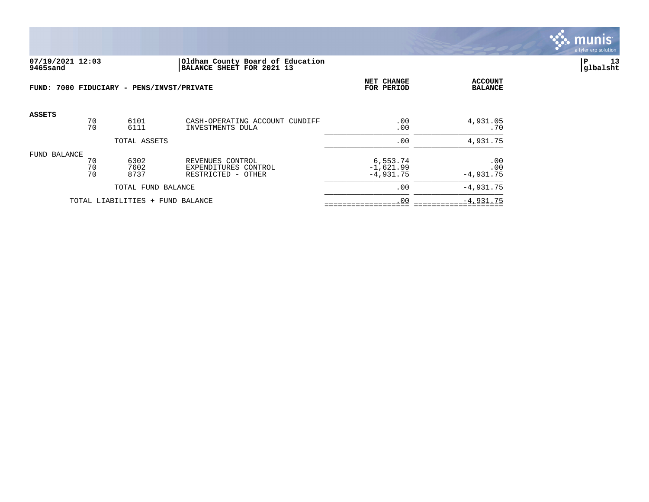

#### **07/19/2021 12:03 |Oldham County Board of Education |P 13 9465sand |BALANCE SHEET FOR 2021 13 |glbalsht**

|                                  |                | FUND: 7000 FIDUCIARY - PENS/INVST/PRIVATE | NET CHANGE<br>FOR PERIOD                                       | <b>ACCOUNT</b><br><b>BALANCE</b>       |                           |
|----------------------------------|----------------|-------------------------------------------|----------------------------------------------------------------|----------------------------------------|---------------------------|
| <b>ASSETS</b>                    | 70<br>70       | 6101<br>6111                              | CASH-OPERATING ACCOUNT CUNDIFF<br>INVESTMENTS DULA             | .00<br>.00                             | 4,931.05<br>.70           |
|                                  |                | TOTAL ASSETS                              | .00                                                            | 4,931.75                               |                           |
| FUND BALANCE                     | 70<br>70<br>70 | 6302<br>7602<br>8737                      | REVENUES CONTROL<br>EXPENDITURES CONTROL<br>RESTRICTED - OTHER | 6,553.74<br>$-1,621.99$<br>$-4.931.75$ | .00<br>.00<br>$-4.931.75$ |
| TOTAL FUND BALANCE               |                |                                           |                                                                | .00                                    | $-4.931.75$               |
| TOTAL LIABILITIES + FUND BALANCE |                |                                           |                                                                | .00                                    | $-4,931.75$               |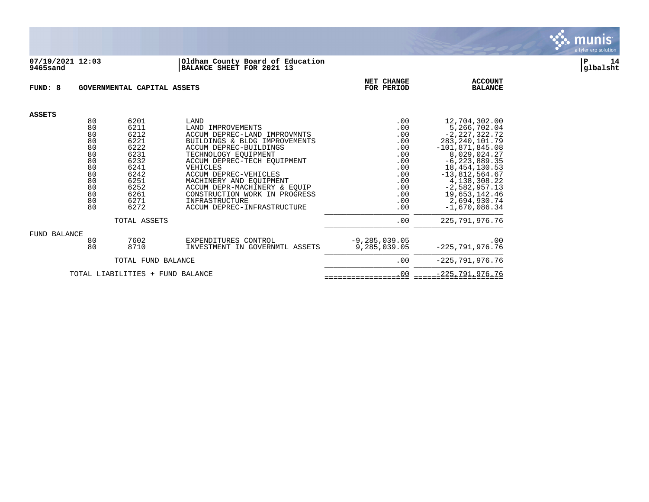

#### **07/19/2021 12:03 |Oldham County Board of Education |P 14 9465sand |BALANCE SHEET FOR 2021 13 |glbalsht**

| FUND: 8                          |                                                                            | GOVERNMENTAL CAPITAL ASSETS                                                                          | NET CHANGE<br>FOR PERIOD                                                                                                                                                                                                                                                                                                       | <b>ACCOUNT</b><br><b>BALANCE</b>                                                        |                                                                                                                                                                                                                                                |
|----------------------------------|----------------------------------------------------------------------------|------------------------------------------------------------------------------------------------------|--------------------------------------------------------------------------------------------------------------------------------------------------------------------------------------------------------------------------------------------------------------------------------------------------------------------------------|-----------------------------------------------------------------------------------------|------------------------------------------------------------------------------------------------------------------------------------------------------------------------------------------------------------------------------------------------|
| <b>ASSETS</b>                    |                                                                            |                                                                                                      |                                                                                                                                                                                                                                                                                                                                |                                                                                         |                                                                                                                                                                                                                                                |
|                                  | 80<br>80<br>80<br>80<br>80<br>80<br>80<br>80<br>80<br>80<br>80<br>80<br>80 | 6201<br>6211<br>6212<br>6221<br>6222<br>6231<br>6232<br>6241<br>6242<br>6251<br>6252<br>6261<br>6271 | LAND<br>LAND IMPROVEMENTS<br>ACCUM DEPREC-LAND IMPROVMNTS<br>BUILDINGS & BLDG IMPROVEMENTS<br>ACCUM DEPREC-BUILDINGS<br>TECHNOLOGY EOUIPMENT<br>ACCUM DEPREC-TECH EOUIPMENT<br>VEHICLES<br>ACCUM DEPREC-VEHICLES<br>MACHINERY AND EQUIPMENT<br>ACCUM DEPR-MACHINERY & EOUIP<br>CONSTRUCTION WORK IN PROGRESS<br>INFRASTRUCTURE | .00<br>.00<br>.00<br>.00<br>.00<br>.00<br>.00<br>.00<br>.00<br>.00<br>.00<br>.00<br>.00 | 12,704,302.00<br>5,266,702.04<br>$-2, 227, 322.72$<br>283, 240, 101.79<br>$-101,871,845.08$<br>8,029,024.27<br>$-6, 223, 889.35$<br>18, 454, 130.53<br>$-13,812,564.67$<br>4, 138, 308. 22<br>$-2,582,957.13$<br>19,653,142.46<br>2,694,930.74 |
|                                  | 80                                                                         | 6272                                                                                                 | ACCUM DEPREC-INFRASTRUCTURE                                                                                                                                                                                                                                                                                                    | .00                                                                                     | $-1,670,086.34$                                                                                                                                                                                                                                |
|                                  |                                                                            | TOTAL ASSETS                                                                                         | .00                                                                                                                                                                                                                                                                                                                            | 225, 791, 976. 76                                                                       |                                                                                                                                                                                                                                                |
| FUND BALANCE                     | 80<br>80                                                                   | 7602<br>8710                                                                                         | EXPENDITURES CONTROL<br>INVESTMENT IN GOVERNMTL ASSETS                                                                                                                                                                                                                                                                         | $-9, 285, 039.05$<br>9,285,039.05                                                       | .00<br>$-225,791,976.76$                                                                                                                                                                                                                       |
| TOTAL FUND BALANCE               |                                                                            |                                                                                                      |                                                                                                                                                                                                                                                                                                                                | .00                                                                                     | $-225,791,976.76$                                                                                                                                                                                                                              |
| TOTAL LIABILITIES + FUND BALANCE |                                                                            |                                                                                                      |                                                                                                                                                                                                                                                                                                                                | .00                                                                                     | $-225,791,976.76$                                                                                                                                                                                                                              |